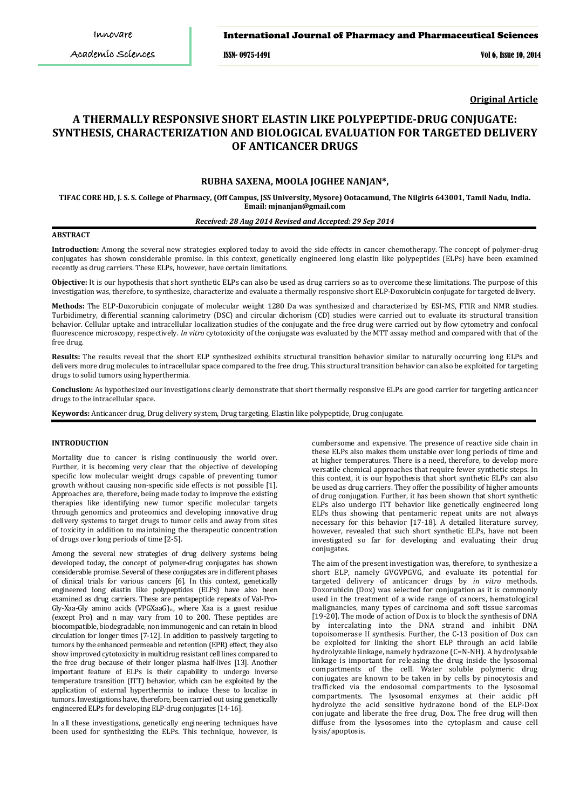ISSN- 0975-1491 Vol 6, Issue 10, 2014

**Original Article**

# **A THERMALLY RESPONSIVE SHORT ELASTIN LIKE POLYPEPTIDE-DRUG CONJUGATE: SYNTHESIS, CHARACTERIZATION AND BIOLOGICAL EVALUATION FOR TARGETED DELIVERY OF ANTICANCER DRUGS**

# **RUBHA SAXENA, MOOLA JOGHEE NANJAN\*,**

**TIFAC CORE HD, J. S. S. College of Pharmacy, (Off Campus, JSS University, Mysore) Ootacamund, The Nilgiris 643001, Tamil Nadu, India. Email: mjnanjan@gmail.com** 

# *Received: 28 Aug 2014 Revised and Accepted: 29 Sep 2014*

## **ABSTRACT**

**Introduction:** Among the several new strategies explored today to avoid the side effects in cancer chemotherapy. The concept of polymer-drug conjugates has shown considerable promise. In this context, genetically engineered long elastin like polypeptides (ELPs) have been examined recently as drug carriers. These ELPs, however, have certain limitations.

**Objective:** It is our hypothesis that short synthetic ELPs can also be used as drug carriers so as to overcome these limitations. The purpose of this investigation was, therefore, to synthesize, characterize and evaluate a thermally responsive short ELP-Doxorubicin conjugate for targeted delivery.

**Methods:** The ELP-Doxorubicin conjugate of molecular weight 1280 Da was synthesized and characterized by ESI-MS, FTIR and NMR studies. Turbidimetry, differential scanning calorimetry (DSC) and circular dichorism (CD) studies were carried out to evaluate its structural transition behavior. Cellular uptake and intracellular localization studies of the conjugate and the free drug were carried out by flow cytometry and confocal fluorescence microscopy, respectively. *In vitro* cytotoxicity of the conjugate was evaluated by the MTT assay method and compared with that of the free drug.

**Results:** The results reveal that the short ELP synthesized exhibits structural transition behavior similar to naturally occurring long ELPs and delivers more drug molecules to intracellular space compared to the free drug. This structural transition behavior can also be exploited for targeting drugs to solid tumors using hyperthermia.

**Conclusion:** As hypothesized our investigations clearly demonstrate that short thermally responsive ELPs are good carrier for targeting anticancer drugs to the intracellular space.

**Keywords:** Anticancer drug, Drug delivery system, Drug targeting, Elastin like polypeptide, Drug conjugate.

### **INTRODUCTION**

Mortality due to cancer is rising continuously the world over. Further, it is becoming very clear that the objective of developing specific low molecular weight drugs capable of preventing tumor growth without causing non-specific side effects is not possible [1]. Approaches are, therefore, being made today to improve the existing therapies like identifying new tumor specific molecular targets through genomics and proteomics and developing innovative drug delivery systems to target drugs to tumor cells and away from sites of toxicity in addition to maintaining the therapeutic concentration of drugs over long periods of time [2-5].

Among the several new strategies of drug delivery systems being developed today, the concept of polymer-drug conjugates has shown considerable promise. Several of these conjugates are in different phases of clinical trials for various cancers [6]. In this context, genetically engineered long elastin like polypeptides (ELPs) have also been examined as drug carriers. These are pentapeptide repeats of Val-Pro-Gly-Xaa-Gly amino acids (VPGXaaG)<sub>n</sub>, where Xaa is a guest residue (except Pro) and n may vary from 10 to 200. These peptides are biocompatible, biodegradable, non immunogenic and can retain in blood circulation for longer times [7-12]. In addition to passively targeting to tumors by the enhanced permeable and retention (EPR) effect, they also show improved cytotoxicity in multidrug resistant cell lines compared to the free drug because of their longer plasma half-lives [13]. Another important feature of ELPs is their capability to undergo inverse temperature transition (ITT) behavior, which can be exploited by the application of external hyperthermia to induce these to localize in tumors. Investigations have, therefore, been carried out using genetically engineered ELPs for developing ELP-drug conjugates [14-16].

In all these investigations, genetically engineering techniques have been used for synthesizing the ELPs. This technique, however, is

cumbersome and expensive. The presence of reactive side chain in these ELPs also makes them unstable over long periods of time and at higher temperatures. There is a need, therefore, to develop more versatile chemical approaches that require fewer synthetic steps. In this context, it is our hypothesis that short synthetic ELPs can also be used as drug carriers. They offer the possibility of higher amounts of drug conjugation. Further, it has been shown that short synthetic ELPs also undergo ITT behavior like genetically engineered long ELPs thus showing that pentameric repeat units are not always necessary for this behavior [17-18]. A detailed literature survey, however, revealed that such short synthetic ELPs, have not been investigated so far for developing and evaluating their drug conjugates.

The aim of the present investigation was, therefore, to synthesize a short ELP, namely GVGVPGVG, and evaluate its potential for targeted delivery of anticancer drugs by *in vitro* methods. Doxorubicin (Dox) was selected for conjugation as it is commonly used in the treatment of a wide range of cancers, [hematological](http://en.wikipedia.org/wiki/Hematological_malignancy)  [malignancies,](http://en.wikipedia.org/wiki/Hematological_malignancy) many types of [carcinoma](http://en.wikipedia.org/wiki/Carcinoma) and [soft tissue sarcomas](http://en.wikipedia.org/wiki/Soft_tissue_sarcoma) [19-20]. The mode of action of Dox is to block the synthesis of DNA by intercalating into the DNA strand and inhibit DNA topoisomerase II synthesis. Further, the C-13 position of Dox can be exploited for linking the short ELP through an acid labile hydrolyzable linkage, namely hydrazone (C=N-NH). A hydrolysable linkage is important for releasing the drug inside the lysosomal compartments of the cell. Water soluble polymeric drug conjugates are known to be taken in by cells by pinocytosis and trafficked via the endosomal compartments to the lysosomal compartments. The lysosomal enzymes at their acidic pH hydrolyze the acid sensitive hydrazone bond of the ELP-Dox conjugate and liberate the free drug, Dox. The free drug will then diffuse from the lysosomes into the cytoplasm and cause cell lysis/apoptosis.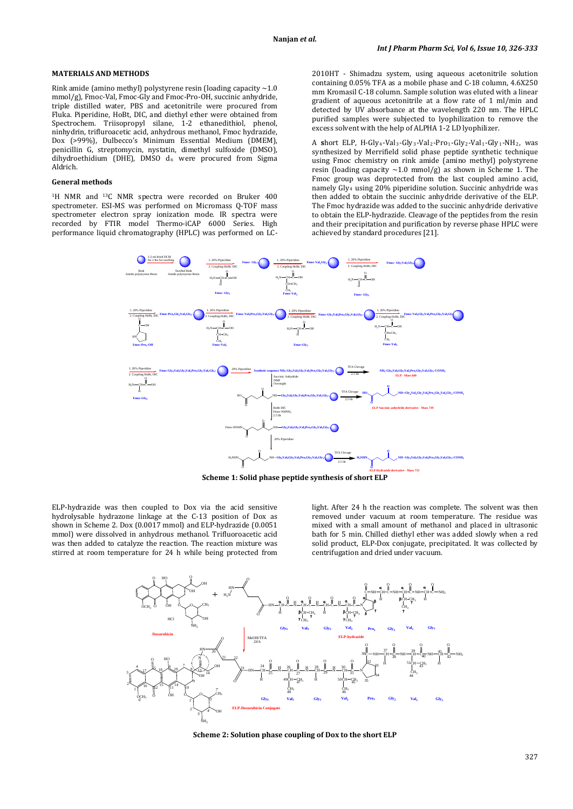# **MATERIALS AND METHODS**

Rink amide (amino methyl) polystyrene resin (loading capacity  $\sim$  1.0 mmol/g), Fmoc-Val, Fmoc-Gly and Fmoc-Pro-OH, succinic anhydride, triple distilled water, PBS and acetonitrile were procured from Fluka. Piperidine, HoBt, DIC, and diethyl ether were obtained from Spectrochem. Triisopropyl silane, 1-2 ethanedithiol, phenol, ninhydrin, trifluroacetic acid, anhydrous methanol, Fmoc hydrazide, Dox (>99%), Dulbecco's Minimum Essential Medium (DMEM), penicillin G, streptomycin, nystatin, dimethyl sulfoxide (DMSO), dihydroethidium (DHE), DMSO  $d_6$  were procured from Sigma Aldrich.

#### **General methods**

<sup>1</sup>H NMR and <sup>13</sup>C NMR spectra were recorded on Bruker 400 performance liquid chromatography (HPLC) was performed on [LC](http://www.google.co.in/url?q=http://www.ssi.shimadzu.com/products/product.cfm%3Fproduct%3Dlc2010ht&sa=U&ei=23U5UfrxEMaQrQebyYCACw&ved=0CB0QFjAA&usg=AFQjCNFjR3syWgZCotAy-DVXbutvQL8oNg)spectrometer. ESI-MS was performed on Micromass Q-TOF mass spectrometer electron spray ionization mode. IR spectra were recorded by FTIR model Thermo-iCAP 6000 Series. High

[2010HT -](http://www.google.co.in/url?q=http://www.ssi.shimadzu.com/products/product.cfm%3Fproduct%3Dlc2010ht&sa=U&ei=23U5UfrxEMaQrQebyYCACw&ved=0CB0QFjAA&usg=AFQjCNFjR3syWgZCotAy-DVXbutvQL8oNg) Shimadzu system, using aqueous acetonitrile solution containing 0.05% TFA as a mobile phase and C-18 column, 4.6X250 mm Kromasil C-18 column. Sample solution was eluted with a linear gradient of aqueous acetonitrile at a flow rate of 1 ml/min and detected by UV absorbance at the wavelength 220 nm. The HPLC purified samples were subjected to lyophilization to remove the excess solvent with the help of ALPHA 1-2 LD lyophilizer.

A short ELP, H-Gly<sub>4</sub>-Val<sub>3</sub>-Gly<sub>3</sub>-Val<sub>2</sub>-Pro<sub>1</sub>-Gly<sub>2</sub>-Val<sub>1</sub>-Gly<sub>1</sub>-NH<sub>2</sub>, was synthesized by Merrifield solid phase peptide synthetic technique using Fmoc chemistry on rink amide (amino methyl) polystyrene resin (loading capacity  $\sim$ 1.0 mmol/g) as shown in Scheme 1. The Fmoc group was deprotected from the last coupled amino acid, namely Gly4 using 20% piperidine solution. Succinic anhydride was then added to obtain the succinic anhydride derivative of the ELP. The Fmoc hydrazide was added to the succinic anhydride derivative to obtain the ELP-hydrazide. Cleavage of the peptides from the resin and their precipitation and purification by reverse phase HPLC were achieved by standard procedures [21].



**Scheme 1: Solid phase peptide synthesis of short ELP**

ELP-hydrazide was then coupled to Dox via the acid sensitive hydrolysable hydrazone linkage at the C-13 position of Dox as shown in Scheme 2. Dox (0.0017 mmol) and ELP-hydrazide (0.0051 mmol) were dissolved in anhydrous methanol. Trifluoroacetic acid was then added to catalyze the reaction. The reaction mixture was stirred at room temperature for 24 h while being protected from

light. After 24 h the reaction was complete. The solvent was then removed under vacuum at room temperature. The residue was mixed with a small amount of methanol and placed in ultrasonic bath for 5 min. Chilled diethyl ether was added slowly when a red solid product, ELP-Dox conjugate, precipitated. It was collected by centrifugation and dried under vacuum.



**Scheme 2: Solution phase coupling of Dox to the short ELP**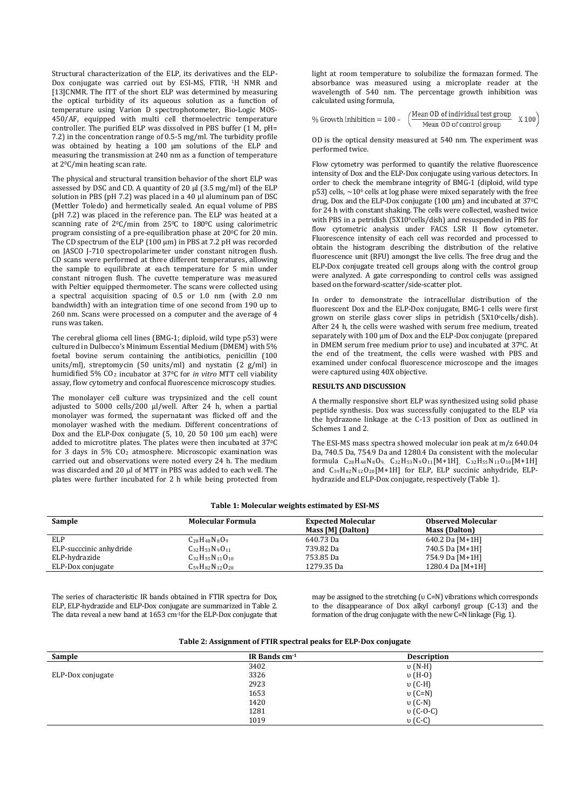Structural characterization of the ELP, its derivatives and the ELP-Dox conjugate was carried out by ESI-MS, FTIR, 1H NMR and [13]CNMR. The ITT of the short ELP was determined by measuring the optical turbidity of its aqueous solution as a function of temperature using Varion D spectrophotometer, Bio-Logic MOS-450/AF, equipped with multi cell thermoelectric temperature controller. The purified ELP was dissolved in PBS buffer (1 M, pH= 7.2) in the concentration range of 0.5-5 mg/ml. The turbidity profile was obtained by heating a 100 µm solutions of the ELP and measuring the transmission at 240 nm as a function of temperature at 20C/min heating scan rate.

The physical and structural transition behavior of the short ELP was assessed by DSC and CD. A quantity of 20  $\mu$ l (3.5 mg/ml) of the ELP solution in PBS (pH 7.2) was placed in a 40 µl aluminum pan of DSC (Mettler Toledo) and hermetically sealed. An equal volume of PBS (pH 7.2) was placed in the reference pan. The ELP was heated at a scanning rate of 2<sup>0</sup>C/min from 25<sup>0</sup>C to 180<sup>0</sup>C using calorimetric program consisting of a pre-equilibration phase at 20<sup>o</sup>C for 20 min. The CD spectrum of the ELP (100 µm) in PBS at 7.2 pH was recorded on JASCO J-710 spectropolarimeter under constant nitrogen flush. CD scans were performed at three different temperatures, allowing the sample to equilibrate at each temperature for 5 min under constant nitrogen flush. The cuvette temperature was measured with Peltier equipped thermometer. The scans were collected using a spectral acquisition spacing of 0.5 or 1.0 nm (with 2.0 nm bandwidth) with an integration time of one second from 190 up to 260 nm. Scans were processed on a computer and the average of 4 runs was taken.

The cerebral glioma cell lines (BMG-1; diploid, wild type p53) were cultured in Dulbecco's Minimum Essential Medium (DMEM) with 5% foetal bovine serum containing the antibiotics, penicillin (100 units/ml), streptomycin (50 units/ml) and nystatin (2 g/ml) in humidified 5% CO<sup>2</sup> incubator at 370 C for *in vitro* MTT cell viability assay, flow cytometry and confocal fluorescence microscopy studies.

The monolayer cell culture was trypsinized and the cell count adjusted to 5000 cells/200 µl/well. After 24 h, when a partial monolayer was formed, the supernatant was flicked off and the monolayer washed with the medium. Different concentrations of Dox and the ELP-Dox conjugate (5, 10, 20 50 100 μm each) were added to microtitre plates. The plates were then incubated at 37 0C for 3 days in 5% CO2 atmosphere. Microscopic examination was carried out and observations were noted every 24 h. The medium was discarded and 20 µl of MTT in PBS was added to each well. The plates were further incubated for 2 h while being protected from light at room temperature to solubilize the formazan formed. The absorbance was measured using a microplate reader at the wavelength of 540 nm. The percentage growth inhibition was calculated using formula,

| $%$ Growth Inhibition = 100 - | /Mean OD of individual test group | X100 |
|-------------------------------|-----------------------------------|------|
|                               | Mean OD of control group          |      |

OD is the optical density measured at 540 nm. The experiment was performed twice.

Flow cytometry was performed to quantify the relative fluorescence intensity of Dox and the ELP-Dox conjugate using various detectors. In order to check the membrane integrity of BMG-1 (diploid, wild type  $p53$ ) cells,  $\sim$ 10<sup>6</sup> cells at log phase were mixed separately with the free drug, Dox and the ELP-Dox conjugate (100 µm) and incubated at 37<sup>o</sup>C for 24 h with constant shaking. The cells were collected, washed twice with PBS in a petridish (5X10<sup>6</sup>cells/dish) and resuspended in PBS for flow cytometric analysis under FACS LSR II flow cytometer. Fluorescence intensity of each cell was recorded and processed to obtain the histogram describing the distribution of the relative fluorescence unit (RFU) amongst the live cells. The free drug and the ELP-Dox conjugate treated cell groups along with the control group were analyzed. A gate corresponding to control cells was assigned based on the forward-scatter/side-scatter plot.

In order to demonstrate the intracellular distribution of the fluorescent Dox and the ELP-Dox conjugate, BMG-1 cells were first grown on sterile glass cover slips in petridish (5X10 6cells/dish). After 24 h, the cells were washed with serum free medium, treated separately with 100 µm of Dox and the ELP-Dox conjugate (prepared in DMEM serum free medium prior to use) and incubated at 370 C. At the end of the treatment, the cells were washed with PBS and examined under confocal fluorescence microscope and the images were captured using 40X objective.

## **RESULTS AND DISCUSSION**

A thermally responsive short ELP was synthesized using solid phase peptide synthesis. Dox was successfully conjugated to the ELP via the hydrazone linkage at the C-13 position of Dox as outlined in Schemes 1 and 2.

The ESI-MS mass spectra showed molecular ion peak at m/z 640.04 Da, 740.5 Da, 754.9 Da and 1280.4 Da consistent with the molecular formula C 28H48N8O9, C32H53N9O11[M+1H], C32H55N11O10[M+1H] and  $C_{59}H_{82}N_{12}O_{20}[M+1H]$  for ELP, ELP succinic anhydride, ELPhydrazide and ELP-Dox conjugate, respectively (Table 1).

#### **Table 1: Molecular weights estimated by ESI-MS**

| Sample                  | <b>Molecular Formula</b>                                 | <b>Expected Molecular</b><br>Mass [M] (Dalton) | <b>Observed Molecular</b><br><b>Mass (Dalton)</b> |
|-------------------------|----------------------------------------------------------|------------------------------------------------|---------------------------------------------------|
| ELP                     | $C_{28}H_{48}N_8O_9$                                     | 640.73 Da                                      | 640.2 Da [M+1H]                                   |
| ELP-succcinic anhydride | $C_{32}H_{53}N_{9}O_{11}$                                | 739.82 Da                                      | 740.5 Da [M+1H]                                   |
| ELP-hydrazide           | $C_{32}H_{55}N_{11}O_{10}$                               | 753.85 Da                                      | 754.9 Da [M+1H]                                   |
| ELP-Dox conjugate       | $C_{59}$ H <sub>82</sub> N <sub>12</sub> O <sub>20</sub> | 1279.35 Da                                     | 1280.4 Da $[M+1H]$                                |

The series of characteristic IR bands obtained in FTIR spectra for Dox, ELP, ELP-hydrazide and ELP-Dox conjugate are summarized in Table 2. The data reveal a new band at 1653 cm-1for the ELP-Dox conjugate that may be assigned to the stretching (υ C=N) vibrations which corresponds to the disappearance of Dox alkyl carbonyl group (C-13) and the formation of the drug conjugate with the new C=N linkage (Fig. 1).

| Table 2: Assignment of FTIR spectral peaks for ELP-Dox conjugate |  |
|------------------------------------------------------------------|--|
|------------------------------------------------------------------|--|

| IR Bands $cm-1$ | <b>Description</b> |
|-----------------|--------------------|
| 3402            | $v(N-H)$           |
| 3326            | $v(H-0)$           |
| 2923            | $v$ (C-H)          |
| 1653            | $v(C=N)$           |
| 1420            | $v(C-N)$           |
| 1281            | υ (C-O-C)          |
| 1019            | $v(C-C)$           |
|                 |                    |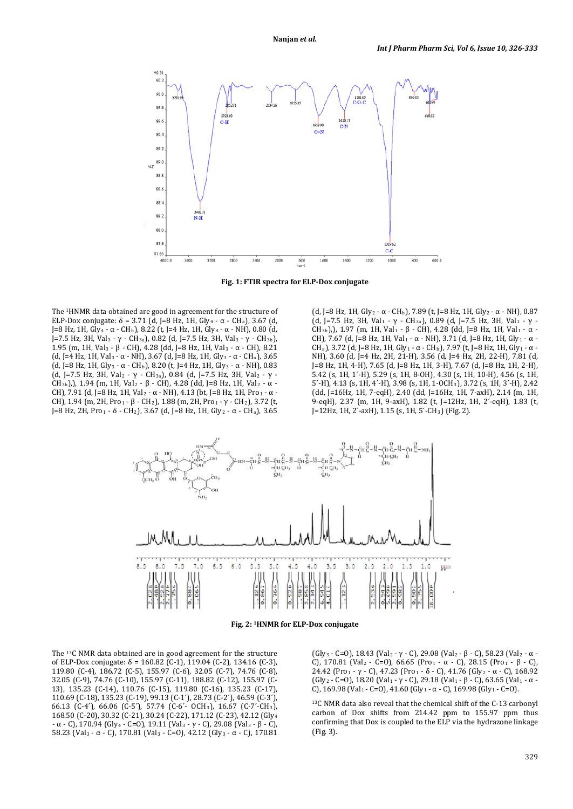

**Fig. 1: FTIR spectra for ELP-Dox conjugate**

The 1HNMR data obtained are good in agreement for the structure of ELP-Dox conjugate: δ = 3.71 (d, J=8 Hz, 1H, Gly<sub>4</sub> - α - CH<sub>a</sub>), 3.67 (d, J=8 Hz, 1H, Gly<sub>4</sub> - α - CH<sub>b</sub>), 8.22 (t, J=4 Hz, 1H, Gly<sub>4</sub> - α - NH), 0.80 (d, J=7.5 Hz, 3H, Val<sub>3</sub> - γ - CH<sub>3a</sub>), 0.82 (d, J=7.5 Hz, 3H, Val<sub>3</sub> - γ - CH<sub>3b</sub>), 1.95 (m, 1H, Val3 - β - CH), 4.28 (dd, J=8 Hz, 1H, Val3 - α - CH), 8.21 (d, J=4 Hz, 1H, Val<sub>3</sub> - α - NH), 3.67 (d, J=8 Hz, 1H, Gly<sub>3</sub> - α - CH<sub>a</sub>), 3.65 (d, J=8 Hz, 1H, Gly<sub>3</sub> - α - CH<sub>b</sub>), 8.20 (t, J=4 Hz, 1H, Gly<sub>3</sub> - α - NH), 0.83 (d, J=7.5 Hz, 3H, Val<sub>2</sub> -  $\gamma$  - CH<sub>3a</sub>), 0.84 (d, J=7.5 Hz, 3H, Val<sub>2</sub> -  $\gamma$  -CH3b),), 1.94 (m, 1H, Val2 - β - CH), 4.28 (dd, J=8 Hz, 1H, Val2 - α - CH), 7.91 (d, J=8 Hz, 1H, Val<sub>2</sub> - α - NH), 4.13 (bt, J=8 Hz, 1H, Pro<sub>1</sub> - α -CH), 1.94 (m, 2H, Pro1 - β - CH2), 1.88 (m, 2H, Pro1 - γ - CH2), 3.72 (t, J=8 Hz, 2H, Pro1 - δ - CH2), 3.67 (d, J=8 Hz, 1H, Gly2 - α - CHa), 3.65

(d, J=8 Hz, 1H, Gly<sub>2</sub> -  $\alpha$  - CH<sub>b</sub>), 7.89 (t, J=8 Hz, 1H, Gly<sub>2</sub> -  $\alpha$  - NH), 0.87 (d, J=7.5 Hz, 3H, Val<sub>1</sub> - γ - CH<sub>3a</sub>), 0.89 (d, J=7.5 Hz, 3H, Val<sub>1</sub> - γ -CH<sub>3b</sub>), 1.97 (m, 1H, Val<sub>1</sub> - β - CH), 4.28 (dd, J=8 Hz, 1H, Val<sub>1</sub> - α -CH), 7.67 (d, J=8 Hz, 1H, Val<sub>1</sub> - α - NH), 3.71 (d, J=8 Hz, 1H, Gly<sub>1</sub> - α -CH<sub>a</sub>), 3.72 (d, J=8 Hz, 1H, Gly<sub>1</sub> - α - CH<sub>b</sub>), 7.97 (t, J=8 Hz, 1H, Gly<sub>1</sub> - α -NH), 3.60 (d, J=4 Hz, 2H, 21-H), 3.56 (d, J=4 Hz, 2H, 22-H), 7.81 (d, J=8 Hz, 1H, 4-H), 7.65 (d, J=8 Hz, 1H, 3-H), 7.67 (d, J=8 Hz, 1H, 2-H), 5.42 (s, 1H, 1´-H), 5.29 (s, 1H, 8-OH), 4.30 (s, 1H, 10-H), 4.56 (s, 1H, 5´-H), 4.13 (s, 1H, 4´-H), 3.98 (s, 1H, 1-OCH3), 3.72 (s, 1H, 3´-H), 2.42 (dd, J=16Hz, 1H, 7-eqH), 2.40 (dd, J=16Hz, 1H, 7-axH), 2.14 (m, 1H, 9-eqH), 2.37 (m, 1H, 9-axH), 1.82 (t, J=12Hz, 1H, 2´-eqH), 1.83 (t, J=12Hz, 1H, 2´-axH), 1.15 (s, 1H, 5´-CH3) (Fig. 2).



**Fig. 2: 1HNMR for ELP-Dox conjugate**

The 13C NMR data obtained are in good agreement for the structure of ELP-Dox conjugate: δ = 160.82 (C-1), 119.04 (C-2), 134.16 (C-3), 119.80 (C-4), 186.72 (C-5), 155.97 (C-6), 32.05 (C-7), 74.76 (C-8), 32.05 (C-9), 74.76 (C-10), 155.97 (C-11), 188.82 (C-12), 155.97 (C-13), 135.23 (C-14), 110.76 (C-15), 119.80 (C-16), 135.23 (C-17), 110.69 (C-18), 135.23 (C-19), 99.13 (C-1´), 28.73 (C-2´), 46.59 (C-3´), 66.13 (C-4´), 66.06 (C-5´), 57.74 (C-6´- OCH3), 16.67 (C-7´-CH3), 168.50 (C-20), 30.32 (C-21), 30.24 (C-22), 171.12 (C-23), 42.12 (Gly4 - α - C), 170.94 (Gly4 - C=O), 19.11 (Val3 - γ - C), 29.08 (Val3 - β - C), 58.23 (Val3 - α - C), 170.81 (Val3 - C=O), 42.12 (Gly3 - α - C), 170.81

(Gly<sub>3</sub> - C=O), 18.43 (Val<sub>2</sub> - γ - C), 29.08 (Val<sub>2</sub> - β - C), 58.23 (Val<sub>2</sub> - α -C), 170.81 (Val<sub>2</sub> - C=O), 66.65 (Pro<sub>1</sub> - α - C), 28.15 (Pro<sub>1</sub> - β - C), 24.42 (Pro1 - γ - C), 47.23 (Pro1 - δ - C), 41.76 (Gly2 - α - C), 168.92 (Gly<sub>2</sub> - C=O), 18.20 (Val<sub>1</sub> - γ - C), 29.18 (Val<sub>1</sub> - β - C), 63.65 (Val<sub>1</sub> - α -C), 169.98 (Val<sub>1</sub> - C=0), 41.60 (Gly<sub>1</sub> - α - C), 169.98 (Gly<sub>1</sub> - C=0).

13C NMR data also reveal that the chemical shift of the C-13 carbonyl carbon of Dox shifts from 214.42 ppm to 155.97 ppm thus confirming that Dox is coupled to the ELP via the hydrazone linkage (Fig. 3).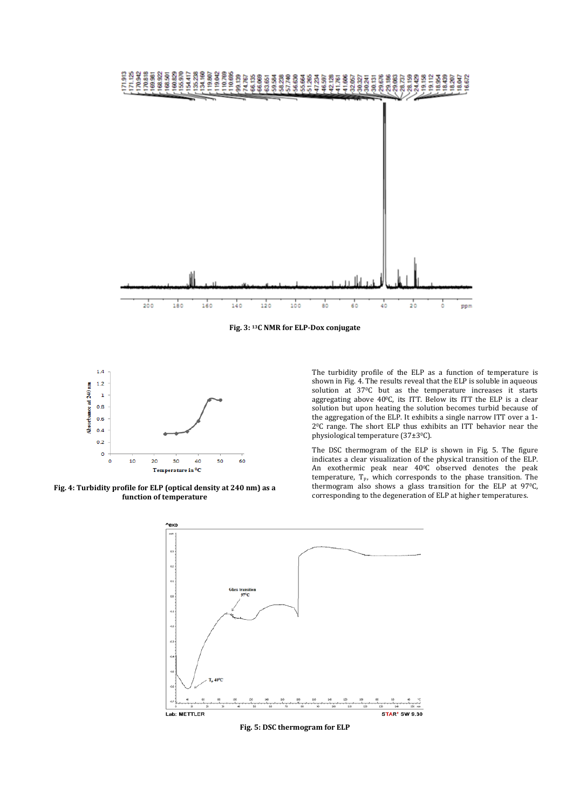

**Fig. 3: 13C NMR for ELP-Dox conjugate**



**Fig. 4: Turbidity profile for ELP (optical density at 240 nm) as a function of temperature**

The turbidity profile of the ELP as a function of temperature is shown in Fig. 4. The results reveal that the ELP is soluble in aqueous solution at 37°C but as the temperature increases it starts aggregating above 400C, its ITT. Below its ITT the ELP is a clear solution but upon heating the solution becomes turbid because of the aggregation of the ELP. It exhibits a single narrow ITT over a 1-  $2^{\circ}$ C range. The short ELP thus exhibits an ITT behavior near the physiological temperature (37±30 C).

The DSC thermogram of the ELP is shown in Fig. 5. The figure indicates a clear visualization of the physical transition of the ELP. An exothermic peak near 40 0C observed denotes the peak temperature,  $T_p$ , which corresponds to the phase transition. The thermogram also shows a glass transition for the ELP at 970C, corresponding to the degeneration of ELP at higher temperatures.



**Fig. 5: DSC thermogram for ELP**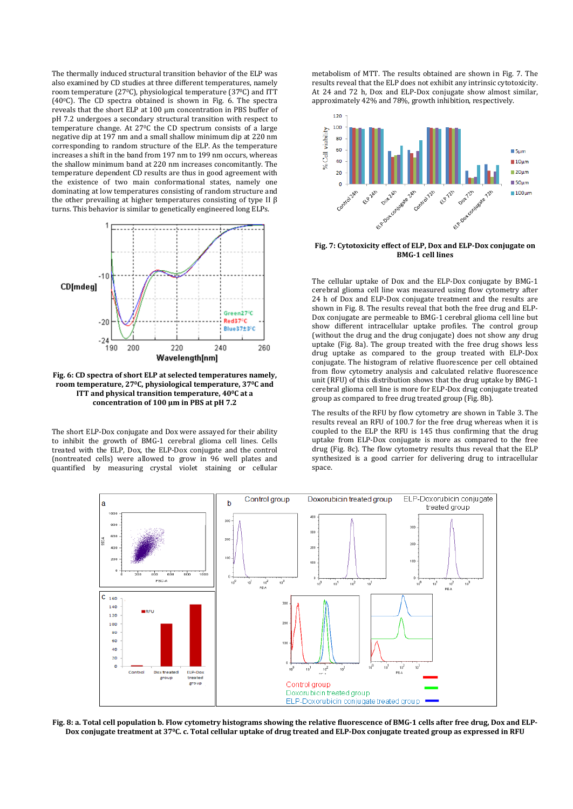The thermally induced structural transition behavior of the ELP was also examined by CD studies at three different temperatures, namely room temperature (270C), physiological temperature (370C) and ITT (400C). The CD spectra obtained is shown in Fig. 6. The spectra reveals that the short ELP at 100 µm concentration in PBS buffer of pH 7.2 undergoes a secondary structural transition with respect to temperature change. At 270C the CD spectrum consists of a large negative dip at 197 nm and a small shallow minimum dip at 220 nm corresponding to random structure of the ELP. As the temperature increases a shift in the band from 197 nm to 199 nm occurs, whereas the shallow minimum band at 220 nm increases concomitantly. The temperature dependent CD results are thus in good agreement with the existence of two main conformational states, namely one dominating at low temperatures consisting of random structure and the other prevailing at higher temperatures consisting of type II β turns. This behavior is similar to genetically engineered long ELPs.



**Fig. 6: CD spectra of short ELP at selected temperatures namely, room temperature, 270C, physiological temperature, 370C and ITT and physical transition temperature, 400 C at a concentration of 100 µm in PBS at pH 7.2**

The short ELP-Dox conjugate and Dox were assayed for their ability to inhibit the growth of BMG-1 cerebral glioma cell lines. Cells treated with the ELP, Dox, the ELP-Dox conjugate and the control (nontreated cells) were allowed to grow in 96 well plates and quantified by measuring crystal violet staining or cellular

metabolism of MTT. The results obtained are shown in Fig. 7. The results reveal that the ELP does not exhibit any intrinsic cytotoxicity. At 24 and 72 h, Dox and ELP-Dox conjugate show almost similar, approximately 42% and 78%, growth inhibition, respectively.



**Fig. 7: Cytotoxicity effect of ELP, Dox and ELP-Dox conjugate on BMG-1 cell lines**

The cellular uptake of Dox and the ELP-Dox conjugate by BMG-1 cerebral glioma cell line was measured using flow cytometry after 24 h of Dox and ELP-Dox conjugate treatment and the results are shown in Fig. 8. The results reveal that both the free drug and ELP-Dox conjugate are permeable to BMG-1 cerebral glioma cell line but show different intracellular uptake profiles. The control group (without the drug and the drug conjugate) does not show any drug uptake (Fig. 8a). The group treated with the free drug shows less drug uptake as compared to the group treated with ELP-Dox conjugate. The histogram of relative fluorescence per cell obtained from flow cytometry analysis and calculated relative fluorescence unit (RFU) of this distribution shows that the drug uptake by BMG-1 cerebral glioma cell line is more for ELP-Dox drug conjugate treated group as compared to free drug treated group (Fig. 8b).

The results of the RFU by flow cytometry are shown in Table 3. The results reveal an RFU of 100.7 for the free drug whereas when it is coupled to the ELP the RFU is 145 thus confirming that the drug uptake from ELP-Dox conjugate is more as compared to the free drug (Fig. 8c). The flow cytometry results thus reveal that the ELP synthesized is a good carrier for delivering drug to intracellular space.



**Fig. 8: a. Total cell population b. Flow cytometry histograms showing the relative fluorescence of BMG-1 cells after free drug, Dox and ELP-Dox conjugate treatment at 370C. c. Total cellular uptake of drug treated and ELP-Dox conjugate treated group as expressed in RFU**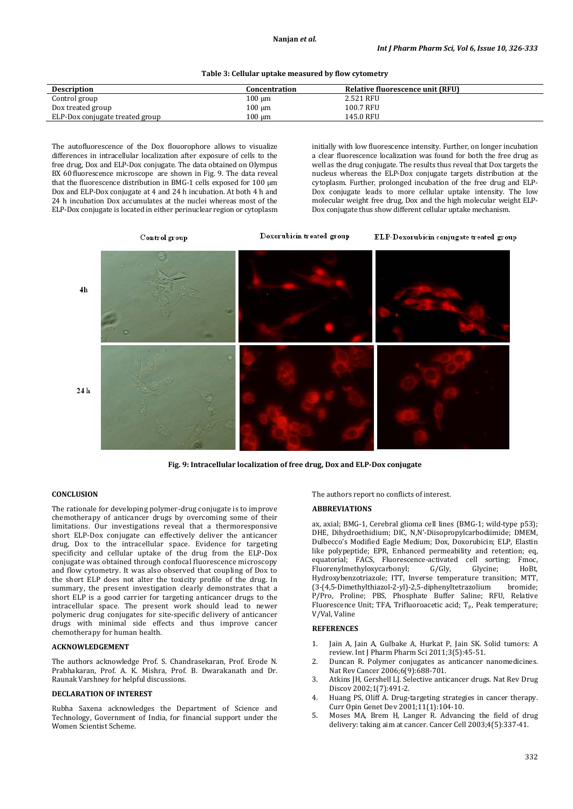#### **Table 3: Cellular uptake measured by flow cytometry**

| <b>Description</b>              | Concentration | Relative fluorescence unit (RFU) |
|---------------------------------|---------------|----------------------------------|
| Control group                   | $100 \mu m$   | 2.521 RFU                        |
| Dox treated group               | $100 \mu m$   | 100.7 RFU                        |
| ELP-Dox conjugate treated group | $100 \mu m$   | 145.0 RFU                        |

The autofluorescence of the Dox flouorophore allows to visualize differences in intracellular localization after exposure of cells to the free drug, Dox and ELP-Dox conjugate. The data obtained on Olympus BX 60 fluorescence microscope are shown in Fig. 9. The data reveal that the fluorescence distribution in BMG-1 cells exposed for 100 µm Dox and ELP-Dox conjugate at 4 and 24 h incubation. At both 4 h and 24 h incubation Dox accumulates at the nuclei whereas most of the ELP-Dox conjugate is located in either perinuclear region or cytoplasm

initially with low fluorescence intensity. Further, on longer incubation a clear fluorescence localization was found for both the free drug as well as the drug conjugate. The results thus reveal that Dox targets the nucleus whereas the ELP-Dox conjugate targets distribution at the cytoplasm. Further, prolonged incubation of the free drug and ELP-Dox conjugate leads to more cellular uptake intensity. The low molecular weight free drug, Dox and the high molecular weight ELP-Dox conjugate thus show different cellular uptake mechanism.



**Fig. 9: Intracellular localization of free drug, Dox and ELP-Dox conjugate**

## **CONCLUSION**

The rationale for developing polymer-drug conjugate is to improve chemotherapy of anticancer drugs by overcoming some of their limitations. Our investigations reveal that a thermoresponsive short ELP-Dox conjugate can effectively deliver the anticancer drug, Dox to the intracellular space. Evidence for targeting specificity and cellular uptake of the drug from the ELP-Dox conjugate was obtained through confocal fluorescence microscopy and flow cytometry. It was also observed that coupling of Dox to the short ELP does not alter the toxicity profile of the drug. In summary, the present investigation clearly demonstrates that a short ELP is a good carrier for targeting anticancer drugs to the intracellular space. The present work should lead to newer polymeric drug conjugates for site-specific delivery of anticancer drugs with minimal side effects and thus improve cancer chemotherapy for human health.

# **ACKNOWLEDGEMENT**

The authors acknowledge Prof. S. Chandrasekaran, Prof. Erode N. Prabhakaran, Prof. A. K. Mishra, Prof. B. Dwarakanath and Dr. Raunak Varshney for helpful discussions.

# **DECLARATION OF INTEREST**

Rubha Saxena acknowledges the Department of Science and Technology, Government of India, for financial support under the Women Scientist Scheme.

The authors report no conflicts of interest.

#### **ABBREVIATIONS**

ax, axial; BMG-1, Cerebral glioma cell lines (BMG*-*1; wild-type p53); DHE, Dihydroethidium; DIC, N,N['-Diisopropylcarbodiimide;](http://www.chemicalbook.com/ChemicalProductProperty_EN_CB4301572.htm) DMEM, Dulbecco's Modified Eagle Medium; Dox, Doxorubicin; ELP, Elastin like polypeptide; EPR, Enhanced permeability and retention; eq, equatorial; FACS, [Fluorescence-activated cell sorting;](http://en.wikipedia.org/wiki/Fluorescence-activated_cell_sorting) Fmoc,<br>Fluorenylmethyloxycarbonyl; G/Gly, Glycine; HoBt, Fluorenylmethyloxycarbonyl; [Hydroxybenzotriazole;](http://en.wikipedia.org/wiki/Hydroxybenzotriazole) ITT, Inverse temperature transition; MTT, (3-(4,5[-Dimethyl](http://en.wikipedia.org/wiki/Di-)[thiazol-](http://en.wikipedia.org/wiki/Thiazole)2-yl)-2,5-[diphenylt](http://en.wikipedia.org/wiki/Phenyl)etrazolium P/Pro, Proline; PBS, Phosphate Buffer Saline; RFU, Relative Fluorescence Unit; TFA, Trifluoroacetic acid;  $T_p$ , Peak temperature; V/Val, Valine

#### **REFERENCES**

- 1. Jain A, Jain A, Gulbake A, Hurkat P, Jain SK. Solid tumors: A review. Int J Pharm Pharm Sci 2011;3(5):45-51.
- 2. [Duncan R.](http://www.ncbi.nlm.nih.gov/pubmed?term=Duncan%20R%5BAuthor%5D&cauthor=true&cauthor_uid=16900224) Polymer conjugates as anticancer nanomedicines. [Nat Rev Cancer](http://www.ncbi.nlm.nih.gov/pubmed/16900224) 2006;6(9):688-701.
- 3. Atkins JH, Gershell LJ. Selective anticancer drugs. Nat Rev Drug Discov 2002;1(7):491-2.
- 4. [Huang PS,](http://www.ncbi.nlm.nih.gov/pubmed?term=Huang%20PS%5BAuthor%5D&cauthor=true&cauthor_uid=11163159) [Oliff A.](http://www.ncbi.nlm.nih.gov/pubmed?term=Oliff%20A%5BAuthor%5D&cauthor=true&cauthor_uid=11163159) Drug-targeting strategies in cancer therapy. [Curr Opin Genet Dev](http://www.ncbi.nlm.nih.gov/pubmed/11163159) 2001;11(1):104-10.
- 5. [Moses MA,](http://www.ncbi.nlm.nih.gov/pubmed?term=Moses%20MA%5BAuthor%5D&cauthor=true&cauthor_uid=14667500) [Brem H,](http://www.ncbi.nlm.nih.gov/pubmed?term=Brem%20H%5BAuthor%5D&cauthor=true&cauthor_uid=14667500) [Langer R.](http://www.ncbi.nlm.nih.gov/pubmed?term=Langer%20R%5BAuthor%5D&cauthor=true&cauthor_uid=14667500) Advancing the field of drug delivery: taking aim at cancer[. Cancer Cell](http://www.ncbi.nlm.nih.gov/pubmed/14667500) 2003;4(5):337-41.